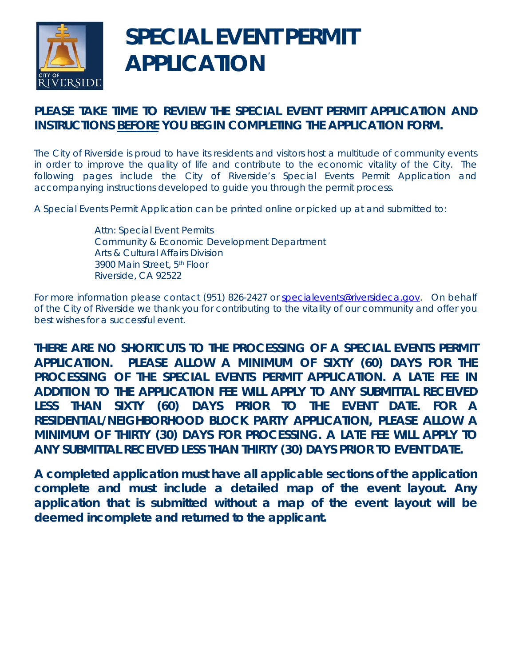

# **SPECIAL EVENT PERMIT APPLICATION**

# **PLEASE TAKE TIME TO REVIEW THE SPECIAL EVENT PERMIT APPLICATION AND INSTRUCTIONS BEFORE YOU BEGIN COMPLETING THE APPLICATION FORM.**

The City of Riverside is proud to have its residents and visitors host a multitude of community events in order to improve the quality of life and contribute to the economic vitality of the City. The following pages include the City of Riverside's Special Events Permit Application and accompanying instructions developed to guide you through the permit process.

A Special Events Permit Application can be printed online or picked up at and submitted to:

Attn: Special Event Permits Community & Economic Development Department Arts & Cultural Affairs Division 3900 Main Street, 5th Floor Riverside, CA 92522

For more information please contact (951) 826-2427 or specialevents@riversideca.gov. On behalf of the City of Riverside we thank you for contributing to the vitality of our community and offer you best wishes for a successful event.

**THERE ARE NO SHORTCUTS TO THE PROCESSING OF A SPECIAL EVENTS PERMIT APPLICATION. PLEASE ALLOW A MINIMUM OF SIXTY (60) DAYS FOR THE PROCESSING OF THE SPECIAL EVENTS PERMIT APPLICATION. A LATE FEE IN ADDITION TO THE APPLICATION FEE WILL APPLY TO ANY SUBMITTAL RECEIVED LESS THAN SIXTY (60) DAYS PRIOR TO THE EVENT DATE. FOR A RESIDENTIAL/NEIGHBORHOOD BLOCK PARTY APPLICATION, PLEASE ALLOW A MINIMUM OF THIRTY (30) DAYS FOR PROCESSING. A LATE FEE WILL APPLY TO ANY SUBMITTAL RECEIVED LESS THAN THIRTY (30) DAYS PRIOR TO EVENT DATE.**

**A completed application must have all applicable sections of the application complete and must include a detailed map of the event layout. Any application that is submitted without a map of the event layout will be deemed incomplete and returned to the applicant.**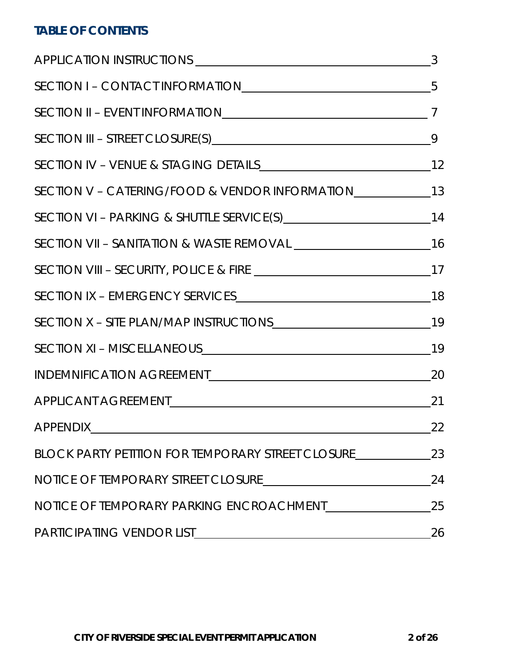# **TABLE OF CONTENTS**

|                                                                                   | 3  |
|-----------------------------------------------------------------------------------|----|
| SECTION I - CONTACT INFORMATION 5                                                 |    |
| SECTION II - EVENT INFORMATION <sub>17</sub>                                      |    |
|                                                                                   | 9  |
|                                                                                   |    |
| SECTION V - CATERING/FOOD & VENDOR INFORMATION __________________________________ |    |
|                                                                                   |    |
|                                                                                   |    |
|                                                                                   |    |
|                                                                                   |    |
|                                                                                   |    |
| SECTION XI - MISCELLANEOUS 19                                                     |    |
|                                                                                   |    |
|                                                                                   |    |
|                                                                                   | 22 |
| BLOCK PARTY PETITION FOR TEMPORARY STREET CLOSURE                                 | 23 |
|                                                                                   | 24 |
|                                                                                   | 25 |
| PARTICIPATING VENDOR LIST                                                         | 26 |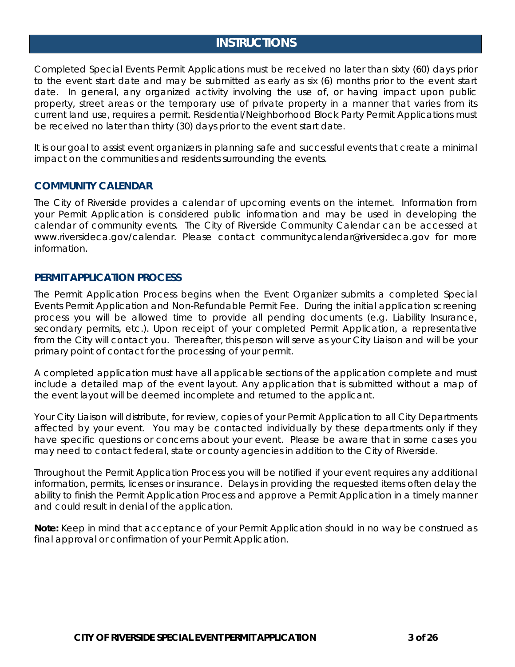# **INSTRUCTIONS**

Completed Special Events Permit Applications must be received no later than sixty (60) days prior to the event start date and may be submitted as early as six (6) months prior to the event start date. In general, any organized activity involving the use of, or having impact upon public property, street areas or the temporary use of private property in a manner that varies from its current land use, requires a permit. Residential/Neighborhood Block Party Permit Applications must be received no later than thirty (30) days prior to the event start date.

It is our goal to assist event organizers in planning safe and successful events that create a minimal impact on the communities and residents surrounding the events.

#### **COMMUNITY CALENDAR**

The City of Riverside provides a calendar of upcoming events on the internet. Information from your Permit Application is considered public information and may be used in developing the calendar of community events. The City of Riverside Community Calendar can be accessed at www.riversideca.gov/calendar. Please contact communitycalendar@riversideca.gov for more information.

#### **PERMIT APPLICATION PROCESS**

The Permit Application Process begins when the Event Organizer submits a completed Special Events Permit Application and Non-Refundable Permit Fee. During the initial application screening process you will be allowed time to provide all pending documents (e.g. Liability Insurance, secondary permits, etc.). Upon receipt of your completed Permit Application, a representative from the City will contact you. Thereafter, this person will serve as your City Liaison and will be your primary point of contact for the processing of your permit.

A completed application must have all applicable sections of the application complete and must include a detailed map of the event layout. Any application that is submitted without a map of the event layout will be deemed incomplete and returned to the applicant.

Your City Liaison will distribute, for review, copies of your Permit Application to all City Departments affected by your event. You may be contacted individually by these departments only if they have specific questions or concerns about your event. Please be aware that in some cases you may need to contact federal, state or county agencies in addition to the City of Riverside.

Throughout the Permit Application Process you will be notified if your event requires any additional information, permits, licenses or insurance. Delays in providing the requested items often delay the ability to finish the Permit Application Process and approve a Permit Application in a timely manner and could result in denial of the application.

**Note:** Keep in mind that acceptance of your Permit Application should in no way be construed as final approval or confirmation of your Permit Application.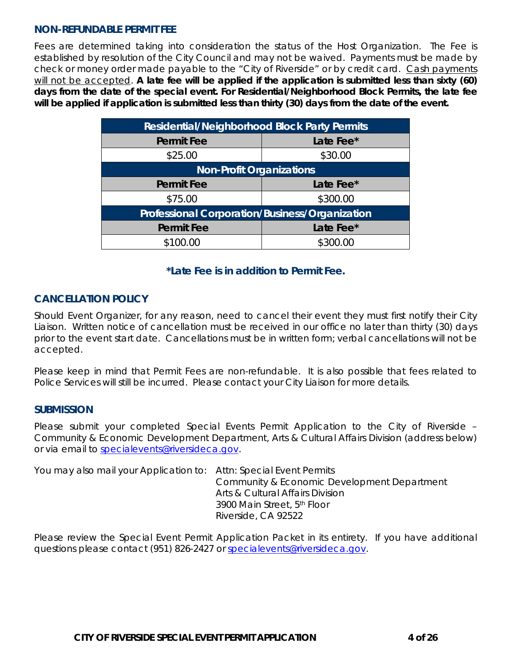### **NON-REFUNDABLE PERMIT FEE**

Fees are determined taking into consideration the status of the Host Organization. The Fee is established by resolution of the City Council and may not be waived. Payments must be made by check or money order made payable to the "City of Riverside" or by credit card. Cash payments will not be accepted. **A late fee will be applied if the application is submitted less than sixty (60) days from the date of the special event. For Residential/Neighborhood Block Permits, the late fee will be applied if application is submitted less than thirty (30) days from the date of the event.**

| <b>Residential/Neighborhood Block Party Permits</b>   |           |  |  |
|-------------------------------------------------------|-----------|--|--|
| <b>Permit Fee</b>                                     | Late Fee* |  |  |
| \$25.00                                               | \$30.00   |  |  |
| <b>Non-Profit Organizations</b>                       |           |  |  |
| <b>Permit Fee</b>                                     | Late Fee* |  |  |
| \$75.00                                               | \$300.00  |  |  |
| <b>Professional Corporation/Business/Organization</b> |           |  |  |
| <b>Permit Fee</b>                                     | Late Fee* |  |  |
| \$100.00                                              | \$300.00  |  |  |

### **\*Late Fee is in addition to Permit Fee.**

### **CANCELLATION POLICY**

Should Event Organizer, for any reason, need to cancel their event they must first notify their City Liaison. Written notice of cancellation must be received in our office no later than thirty (30) days prior to the event start date. Cancellations must be in written form; verbal cancellations will not be accepted.

Please keep in mind that Permit Fees are non-refundable. It is also possible that fees related to Police Services will still be incurred. Please contact your City Liaison for more details.

### **SUBMISSION**

Please submit your completed Special Events Permit Application to the City of Riverside – Community & Economic Development Department, Arts & Cultural Affairs Division (address below) or via email to specialevents@riversideca.gov.

You may also mail your Application to: Attn: Special Event Permits Community & Economic Development Department Arts & Cultural Affairs Division 3900 Main Street, 5th Floor Riverside, CA 92522

Please review the Special Event Permit Application Packet in its entirety. If you have additional questions please contact (951) 826-2427 or specialevents@riversideca.gov.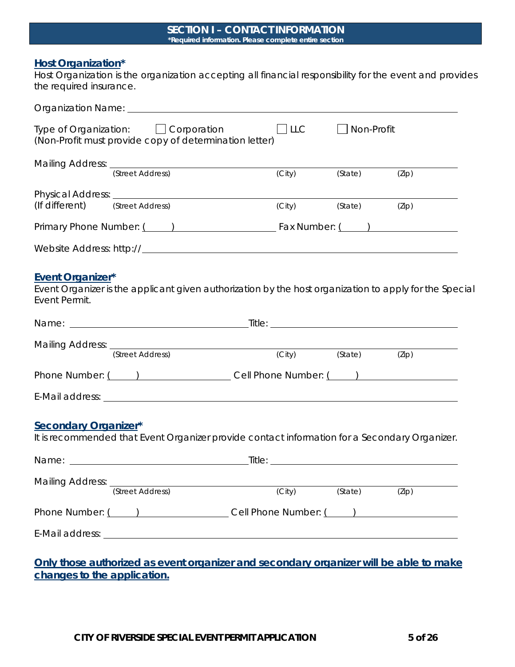#### **SECTION I – CONTACT INFORMATION \*Required information. Please complete entire section**

### **Host Organization\***

Host Organization is the organization accepting all financial responsibility for the event and provides the required insurance.

|                                          | Type of Organization: Corporation<br>(Non-Profit must provide copy of determination letter)            | $\Box$ LLC | $\Box$ Non-Profit |       |
|------------------------------------------|--------------------------------------------------------------------------------------------------------|------------|-------------------|-------|
|                                          | Mailing Address: (Street Address)                                                                      | (City)     | (State)           | (Zip) |
| (If different) (Street Address)          |                                                                                                        | (City)     | (State)           | (Zip) |
|                                          | Primary Phone Number: ( ) The Fax Number: ( ) Primary Phone Number: ( )                                |            |                   |       |
|                                          |                                                                                                        |            |                   |       |
| <b>Event Organizer*</b><br>Event Permit. | Event Organizer is the applicant given authorization by the host organization to apply for the Special |            |                   |       |
|                                          |                                                                                                        |            |                   |       |
|                                          | Mailing Address: (Street Address) (City)                                                               |            | (State)           | (Zip) |
|                                          | Phone Number: ( ) Cell Phone Number: ( ) )                                                             |            |                   |       |
|                                          |                                                                                                        |            |                   |       |
| <b>Secondary Organizer*</b>              | It is recommended that Event Organizer provide contact information for a Secondary Organizer.          |            |                   |       |
|                                          |                                                                                                        |            |                   |       |
|                                          | Mailing Address: (Street Address)                                                                      | (City)     | (State)           | (Zip) |
|                                          |                                                                                                        |            |                   |       |
|                                          |                                                                                                        |            |                   |       |
|                                          | Only those authorized as event organizer and secondary organizer will be able to make                  |            |                   |       |

**changes to the application.**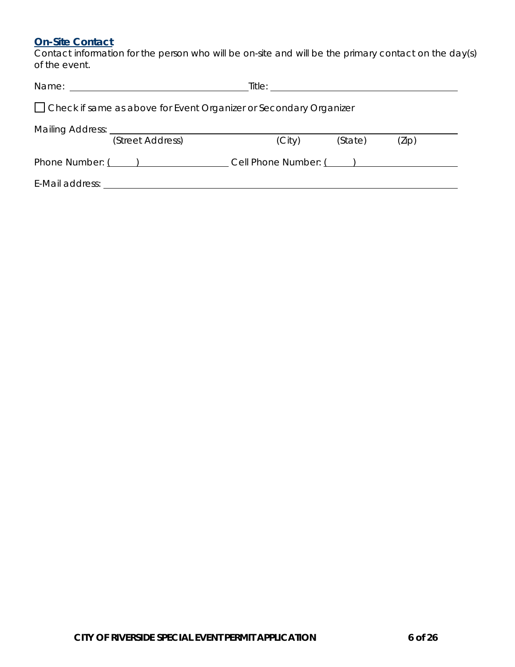# **On-Site Contact**

Contact information for the person who will be on-site and will be the primary contact on the day(s) of the event.

| $\Box$ Check if same as above for Event Organizer or Secondary Organizer |                                                                                                                                                                                                                                |  |        |                        |       |  |
|--------------------------------------------------------------------------|--------------------------------------------------------------------------------------------------------------------------------------------------------------------------------------------------------------------------------|--|--------|------------------------|-------|--|
|                                                                          |                                                                                                                                                                                                                                |  |        |                        |       |  |
|                                                                          | (Street Address)                                                                                                                                                                                                               |  | (City) | (State)                | (Zip) |  |
|                                                                          | Phone Number: ( )                                                                                                                                                                                                              |  |        | Cell Phone Number: ( ) |       |  |
|                                                                          | E-Mail address: E-Mail and The Second State Second State State State State State State State State State State State State State State State State State State State State State State State State State State State State Sta |  |        |                        |       |  |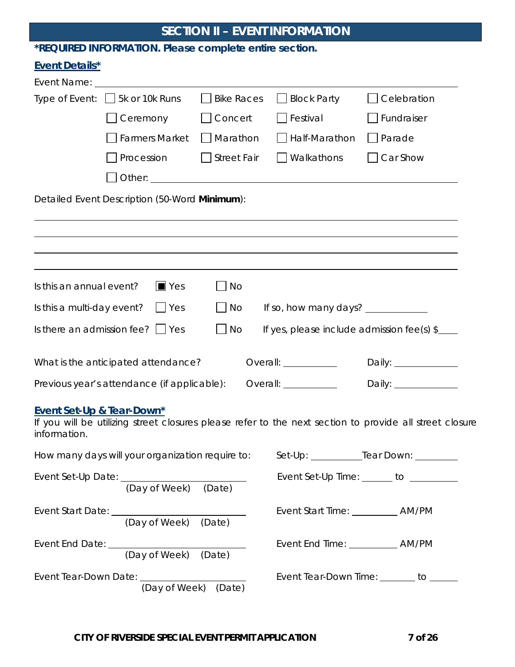# **SECTION II – EVENT INFORMATION**

# **\*REQUIRED INFORMATION. Please complete entire section.**

# **Event Details\***

|                                           | Type of Event: $\Box$ 5k or 10k Runs             | <b>Bike Races</b> | <b>Block Party</b><br>$\mathbf{I}$    | Celebration                                                                                             |
|-------------------------------------------|--------------------------------------------------|-------------------|---------------------------------------|---------------------------------------------------------------------------------------------------------|
|                                           | Ceremony                                         | Concert           | $\Box$ Festival                       | Fundraiser                                                                                              |
|                                           | <b>Farmers Market</b>                            | Marathon          | Half-Marathon                         | Parade                                                                                                  |
|                                           | Procession                                       | Street Fair       | Walkathons                            | Car Show                                                                                                |
|                                           |                                                  |                   |                                       |                                                                                                         |
|                                           | Detailed Event Description (50-Word Minimum):    |                   |                                       |                                                                                                         |
|                                           |                                                  |                   |                                       |                                                                                                         |
|                                           |                                                  |                   |                                       |                                                                                                         |
|                                           |                                                  |                   |                                       |                                                                                                         |
|                                           |                                                  |                   |                                       |                                                                                                         |
| Is this an annual event?                  | $\blacksquare$ Yes                               | No                |                                       |                                                                                                         |
| Is this a multi-day event?                | Yes                                              | $\Box$ No         | If so, how many days? $\frac{1}{2}$   |                                                                                                         |
|                                           | Is there an admission fee? $\vert \ \vert$ Yes   | No                |                                       | If yes, please include admission fee(s) $\frac{1}{2}$                                                   |
|                                           |                                                  |                   |                                       |                                                                                                         |
|                                           | What is the anticipated attendance?              |                   | Overall: <u>_____________</u>         | Daily: $\_\_$                                                                                           |
|                                           | Previous year's attendance (if applicable):      |                   | Overall: <u>_______________</u>       | Daily: _______________                                                                                  |
| Event Set-Up & Tear-Down*<br>information. |                                                  |                   |                                       | If you will be utilizing street closures please refer to the next section to provide all street closure |
|                                           | How many days will your organization require to: |                   |                                       | Set-Up: _____________Tear Down: _________                                                               |
|                                           | (Day of Week) (Date)                             |                   |                                       | Event Set-Up Time: ______ to ________                                                                   |
|                                           | Event Start Date: (Day of Week) (Date)           |                   | Event Start Time: _____________ AM/PM |                                                                                                         |
|                                           | Event End Date: (Day of Week) (Date)             |                   |                                       |                                                                                                         |
|                                           | (Day of Week)                                    | (Date)            |                                       | Event Tear-Down Time: _______ to ______                                                                 |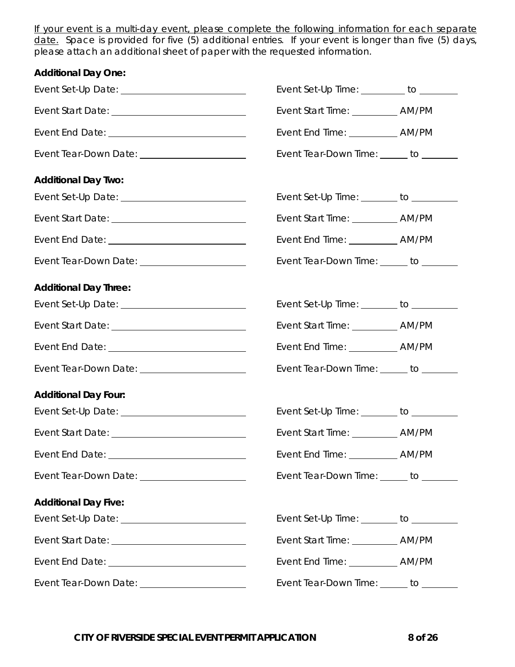If your event is a multi-day event, please complete the following information for each separate date. Space is provided for five (5) additional entries. If your event is longer than five (5) days, please attach an additional sheet of paper with the requested information.

| <b>Additional Day One:</b>                          |                                         |  |
|-----------------------------------------------------|-----------------------------------------|--|
| Event Set-Up Date: ___________________________      | Event Set-Up Time: _________ to _______ |  |
|                                                     | Event Start Time: ___________ AM/PM     |  |
|                                                     | Event End Time: ____________ AM/PM      |  |
|                                                     | Event Tear-Down Time: ______ to _______ |  |
| <b>Additional Day Two:</b>                          |                                         |  |
| Event Set-Up Date: <u>_________________________</u> | Event Set-Up Time: _______ to ________  |  |
|                                                     | Event Start Time: ____________ AM/PM    |  |
|                                                     | Event End Time: _____________ AM/PM     |  |
| Event Tear-Down Date: ________________________      | Event Tear-Down Time: _____ to ______   |  |
| <b>Additional Day Three:</b>                        |                                         |  |
|                                                     | Event Set-Up Time: _______ to ________  |  |
|                                                     |                                         |  |
|                                                     | Event End Time: _____________ AM/PM     |  |
| Event Tear-Down Date: _______________________       | Event Tear-Down Time: _____ to ______   |  |
| <b>Additional Day Four:</b>                         |                                         |  |
| Event Set-Up Date: National Assembly Date:          | Event Set-Up Time: _______ to _______   |  |
|                                                     | Event Start Time: ___________ AM/PM     |  |
|                                                     |                                         |  |
| Event Tear-Down Date: ______________________        | Event Tear-Down Time: _____ to ______   |  |
| <b>Additional Day Five:</b>                         |                                         |  |
|                                                     | Event Set-Up Time: _______ to ________  |  |
|                                                     | Event Start Time: ___________ AM/PM     |  |
|                                                     | Event End Time: ____________ AM/PM      |  |
|                                                     | Event Tear-Down Time: _____ to ______   |  |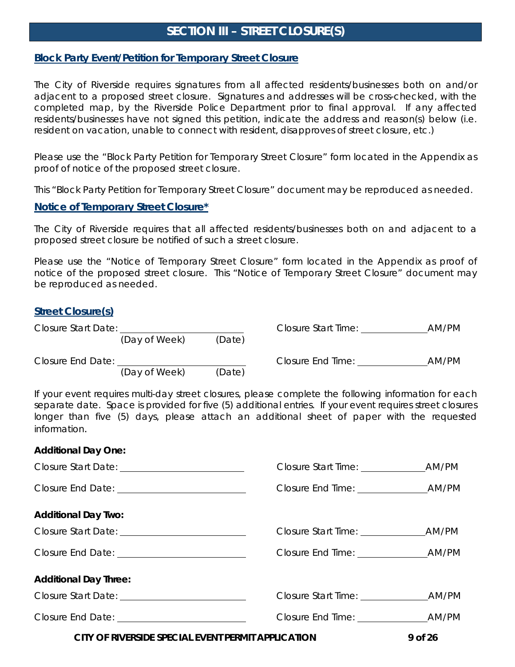# **SECTION III – STREET CLOSURE(S)**

### **Block Party Event/Petition for Temporary Street Closure**

The City of Riverside requires signatures from all affected residents/businesses both on and/or adjacent to a proposed street closure. Signatures and addresses will be cross-checked, with the completed map, by the Riverside Police Department prior to final approval. If any affected residents/businesses have not signed this petition, indicate the address and reason(s) below (i.e. resident on vacation, unable to connect with resident, disapproves of street closure, etc.)

Please use the "Block Party Petition for Temporary Street Closure" form located in the Appendix as proof of notice of the proposed street closure.

This "Block Party Petition for Temporary Street Closure" document may be reproduced as needed.

#### **Notice of Temporary Street Closure\***

The City of Riverside requires that all affected residents/businesses both on and adjacent to a proposed street closure be notified of such a street closure.

Please use the "Notice of Temporary Street Closure" form located in the Appendix as proof of notice of the proposed street closure. This "Notice of Temporary Street Closure" document may be reproduced as needed.

### **Street Closure(s)**

| Closure Start Date: |               |        | <b>Closure Start Time:</b> | AM/PM |
|---------------------|---------------|--------|----------------------------|-------|
|                     | (Day of Week) | (Date) |                            |       |
| Closure End Date:   |               |        | Closure End Time:          | AM/PM |
|                     | (Day of Week) | (Date) |                            |       |

If your event requires multi-day street closures, please complete the following information for each separate date. Space is provided for five (5) additional entries. If your event requires street closures longer than five (5) days, please attach an additional sheet of paper with the requested information.

#### **Additional Day One:**

| <b>Additional Day Two:</b>                               |                                                              |
|----------------------------------------------------------|--------------------------------------------------------------|
|                                                          |                                                              |
|                                                          |                                                              |
| <b>Additional Day Three:</b>                             |                                                              |
|                                                          |                                                              |
|                                                          |                                                              |
| CITY OF BUJERCIDE CREQUAL EVENIT BEDIJIT A BRUJO A TIONI | $\mathcal{L}$ . If $\mathcal{L}$ is the set of $\mathcal{L}$ |

**CITY OF RIVERSIDE SPECIAL EVENT PERMIT APPLICATION 9 of 26**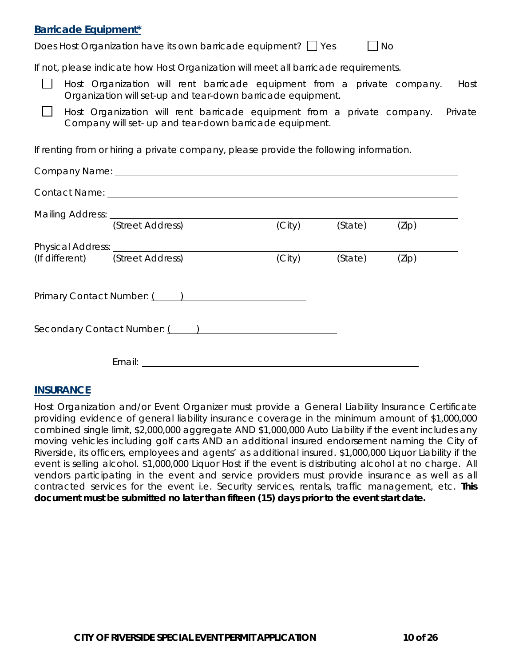### **Barricade Equipment\***

Does Host Organization have its own barricade equipment?  $\Box$  Yes  $\Box$  No

If not, please indicate how Host Organization will meet all barricade requirements.

Host Organization will rent barricade equipment from a private company. Host Organization will set-up and tear-down barricade equipment.

 $\Box$ Host Organization will rent barricade equipment from a private company. Private Company will set- up and tear-down barricade equipment.

If renting from or hiring a private company, please provide the following information.

| (Street Address)                | (City) | (State) | (Zip) |  |
|---------------------------------|--------|---------|-------|--|
|                                 |        |         |       |  |
| (If different) (Street Address) | (City) | (State) | (Zip) |  |
|                                 |        |         |       |  |
| Primary Contact Number: ( )     |        |         |       |  |
|                                 |        |         |       |  |
| Secondary Contact Number: ( )   |        |         |       |  |
|                                 |        |         |       |  |
| Email: ________________________ |        |         |       |  |

### **INSURANCE**

Host Organization and/or Event Organizer must provide a General Liability Insurance Certificate providing evidence of general liability insurance coverage in the minimum amount of \$1,000,000 combined single limit, \$2,000,000 aggregate AND \$1,000,000 Auto Liability if the event includes any moving vehicles including golf carts AND an additional insured endorsement naming the City of Riverside, its officers, employees and agents' as additional insured. \$1,000,000 Liquor Liability if the event is selling alcohol. \$1,000,000 Liquor Host if the event is distributing alcohol at no charge. All vendors participating in the event and service providers must provide insurance as well as all contracted services for the event i.e. Security services, rentals, traffic management, etc. **This document must be submitted no later than fifteen (15) days prior to the event start date.**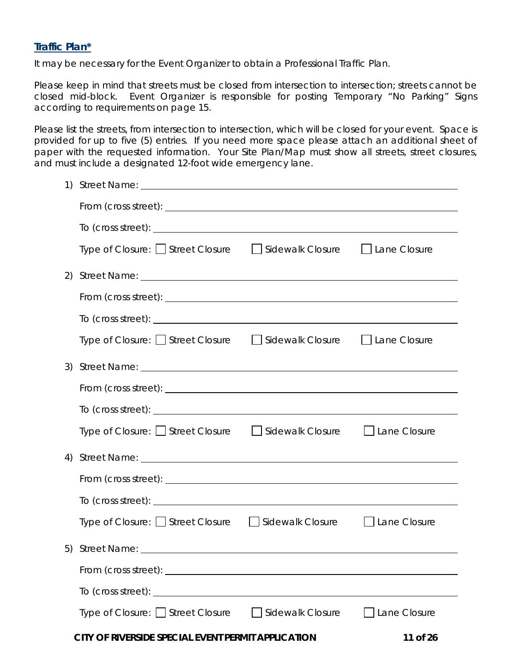### **Traffic Plan\***

It may be necessary for the Event Organizer to obtain a Professional Traffic Plan.

Please keep in mind that streets must be closed from intersection to intersection; streets cannot be closed mid-block. Event Organizer is responsible for posting Temporary "No Parking" Signs according to requirements on page 15.

Please list the streets, from intersection to intersection, which will be closed for your event. Space is provided for up to five (5) entries. If you need more space please attach an additional sheet of paper with the requested information. Your Site Plan/Map must show all streets, street closures, and must include a designated 12-foot wide emergency lane.

|    | Type of Closure:   Street Closure   Sidewalk Closure   Lane Closure                                                                                                                                                                 |                     |
|----|-------------------------------------------------------------------------------------------------------------------------------------------------------------------------------------------------------------------------------------|---------------------|
|    |                                                                                                                                                                                                                                     |                     |
|    |                                                                                                                                                                                                                                     |                     |
|    | To (cross street): $\_\_$                                                                                                                                                                                                           |                     |
|    | Type of Closure: U Street Closure   U Sidewalk Closure   U Lane Closure                                                                                                                                                             |                     |
|    |                                                                                                                                                                                                                                     |                     |
|    |                                                                                                                                                                                                                                     |                     |
|    |                                                                                                                                                                                                                                     |                     |
|    | Type of Closure: $\Box$ Street Closure $\Box$ Sidewalk Closure $\Box$ Lane Closure                                                                                                                                                  |                     |
| 4) |                                                                                                                                                                                                                                     |                     |
|    |                                                                                                                                                                                                                                     |                     |
|    | To (cross street): <u>example and the street</u> of the street of the street of the street of the street of the street of the street of the street of the street of the street of the street of the street of the street of the str |                     |
|    | Type of Closure: Street Closure Sidewalk Closure Stane Closure                                                                                                                                                                      |                     |
|    |                                                                                                                                                                                                                                     |                     |
|    |                                                                                                                                                                                                                                     |                     |
|    |                                                                                                                                                                                                                                     |                     |
|    | Type of Closure: □ Street Closure □ Sidewalk Closure                                                                                                                                                                                | $\Box$ Lane Closure |
|    | CITY OF RIVERSIDE SPECIAL EVENT PERMIT APPLICATION                                                                                                                                                                                  | 11 of 26            |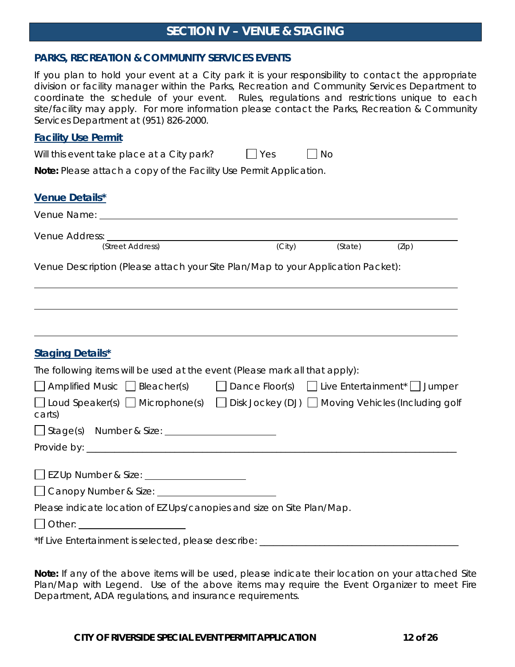# **SECTION IV – VENUE & STAGING**

#### **PARKS, RECREATION & COMMUNITY SERVICES EVENTS**

If you plan to hold your event at a City park it is your responsibility to contact the appropriate division or facility manager within the Parks, Recreation and Community Services Department to coordinate the schedule of your event. Rules, regulations and restrictions unique to each site/facility may apply. For more information please contact the Parks, Recreation & Community Services Department at (951) 826-2000.

#### **Facility Use Permit**

| Will this event take place at a City park?                                | I l Yes | No |  |
|---------------------------------------------------------------------------|---------|----|--|
| <b>Note:</b> Please attach a copy of the Facility Use Permit Application. |         |    |  |
|                                                                           |         |    |  |
| <b>Venue Details*</b>                                                     |         |    |  |

| Venue Name:      |        |         |       |  |
|------------------|--------|---------|-------|--|
| Venue Address:   |        |         |       |  |
| (Street Address) | (City) | (State) | (Zip) |  |

Venue Description (Please attach your Site Plan/Map to your Application Packet):

| <b>Staging Details*</b>                                                     |                                                                                                          |
|-----------------------------------------------------------------------------|----------------------------------------------------------------------------------------------------------|
| The following items will be used at the event (Please mark all that apply): |                                                                                                          |
|                                                                             | $\Box$ Amplified Music $\Box$ Bleacher(s) $\Box$ Dance Floor(s) $\Box$ Live Entertainment* $\Box$ Jumper |
| carts)                                                                      | □ Loud Speaker(s) □ Microphone(s) □ Disk Jockey (DJ) □ Moving Vehicles (Including golf                   |
| Stage(s) Number & Size: 11 Number & Size:                                   |                                                                                                          |
|                                                                             |                                                                                                          |
|                                                                             |                                                                                                          |
| Please indicate location of EZ Ups/canopies and size on Site Plan/Map.      |                                                                                                          |
| Other: _______________________                                              |                                                                                                          |
|                                                                             | *If Live Entertainment is selected, please describe: ___________________________                         |

**Note:** If any of the above items will be used, please indicate their location on your attached Site Plan/Map with Legend. Use of the above items may require the Event Organizer to meet Fire Department, ADA regulations, and insurance requirements.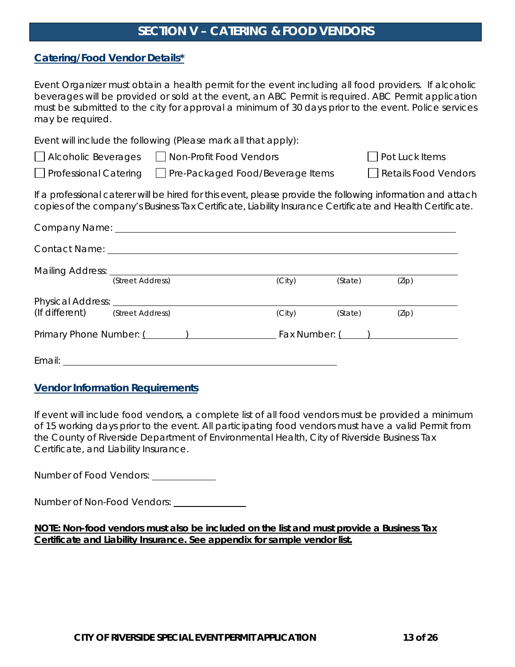# **SECTION V – CATERING & FOOD VENDORS**

### **Catering/Food Vendor Details\***

Event Organizer must obtain a health permit for the event including all food providers. If alcoholic beverages will be provided or sold at the event, an ABC Permit is required. ABC Permit application must be submitted to the city for approval a minimum of 30 days prior to the event. Police services may be required.

Event will include the following (Please mark all that apply):

□ Professional Catering □ Pre-Packaged Food/Beverage Items □ Retails Food Vendors

**Pot Luck Items** 

If a professional caterer will be hired for this event, please provide the following information and attach copies of the company's Business Tax Certificate, Liability Insurance Certificate and Health Certificate.

|                                                                                                                                                                                                                                | (Street Address) | (City) | (State) | (Zip)           |
|--------------------------------------------------------------------------------------------------------------------------------------------------------------------------------------------------------------------------------|------------------|--------|---------|-----------------|
| (If different) (Street Address)                                                                                                                                                                                                |                  | (City) | (State) | (Zip)           |
| Primary Phone Number: (All Controller School School School School School School School School School School School School School School School School School School School School School School School School School School Sc |                  |        |         | Fax Number: ( ) |
| Email: ________________________                                                                                                                                                                                                |                  |        |         |                 |

### **Vendor Information Requirements**

If event will include food vendors, a complete list of all food vendors must be provided a minimum of 15 working days prior to the event. All participating food vendors must have a valid Permit from the County of Riverside Department of Environmental Health, City of Riverside Business Tax Certificate, and Liability Insurance.

Number of Food Vendors:

Number of Non-Food Vendors:

**NOTE: Non-food vendors must also be included on the list and must provide a Business Tax Certificate and Liability Insurance. See appendix for sample vendor list.**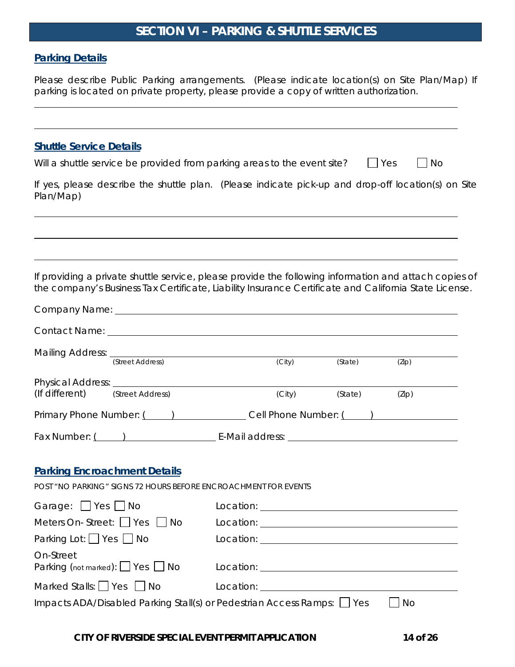# **SECTION VI – PARKING & SHUTTLE SERVICES**

#### **Parking Details**

Please describe Public Parking arrangements. (Please indicate location(s) on Site Plan/Map) If parking is located on private property, please provide a copy of written authorization.

#### **Shuttle Service Details**

| $\bigcap$ Yes<br>Will a shuttle service be provided from parking areas to the event site? |  | $\Box$ No |
|-------------------------------------------------------------------------------------------|--|-----------|
|-------------------------------------------------------------------------------------------|--|-----------|

If yes, please describe the shuttle plan. (Please indicate pick-up and drop-off location(s) on Site Plan/Map)

If providing a private shuttle service, please provide the following information and attach copies of the company's Business Tax Certificate, Liability Insurance Certificate and California State License.

|                                        | Mailing Address: (Street Address)                                       |                                                                                                                                                                                                                                      | (City) | (State) | (Zip)                                                                                                                                                                                                                                |
|----------------------------------------|-------------------------------------------------------------------------|--------------------------------------------------------------------------------------------------------------------------------------------------------------------------------------------------------------------------------------|--------|---------|--------------------------------------------------------------------------------------------------------------------------------------------------------------------------------------------------------------------------------------|
|                                        |                                                                         |                                                                                                                                                                                                                                      |        |         |                                                                                                                                                                                                                                      |
| (If different) (Street Address)        |                                                                         |                                                                                                                                                                                                                                      | (City) | (State) | (Zip)                                                                                                                                                                                                                                |
|                                        | Primary Phone Number: ( ) Cell Phone Number: ( )                        |                                                                                                                                                                                                                                      |        |         |                                                                                                                                                                                                                                      |
|                                        |                                                                         |                                                                                                                                                                                                                                      |        |         |                                                                                                                                                                                                                                      |
|                                        |                                                                         |                                                                                                                                                                                                                                      |        |         |                                                                                                                                                                                                                                      |
| <b>Parking Encroachment Details</b>    |                                                                         |                                                                                                                                                                                                                                      |        |         |                                                                                                                                                                                                                                      |
|                                        | <b>POST "NO PARKING" SIGNS 72 HOURS BEFORE ENCROACHMENT FOR EVENTS</b>  |                                                                                                                                                                                                                                      |        |         |                                                                                                                                                                                                                                      |
| Garage: $\Box$ Yes $\Box$ No           |                                                                         |                                                                                                                                                                                                                                      |        |         |                                                                                                                                                                                                                                      |
| Meters On-Street: $\Box$ Yes $\Box$ No |                                                                         |                                                                                                                                                                                                                                      |        |         | Location: <u>example and the set of the set of the set of the set of the set of the set of the set of the set of the set of the set of the set of the set of the set of the set of the set of the set of the set of the set of t</u> |
| Parking Lot: $\Box$ Yes $\Box$ No      |                                                                         |                                                                                                                                                                                                                                      |        |         |                                                                                                                                                                                                                                      |
| On-Street                              | Parking (not marked): 1 Yes 1 No                                        |                                                                                                                                                                                                                                      |        |         |                                                                                                                                                                                                                                      |
| Marked Stalls: Yes No                  |                                                                         | Location: <u>contract and a series of the series of the series of the series of the series of the series of the series of the series of the series of the series of the series of the series of the series of the series of the </u> |        |         |                                                                                                                                                                                                                                      |
|                                        | Impacts ADA/Disabled Parking Stall(s) or Pedestrian Access Ramps: 1 Yes |                                                                                                                                                                                                                                      |        |         | <b>No</b>                                                                                                                                                                                                                            |

**CITY OF RIVERSIDE SPECIAL EVENT PERMIT APPLICATION 14 of 26**

 $\overline{a}$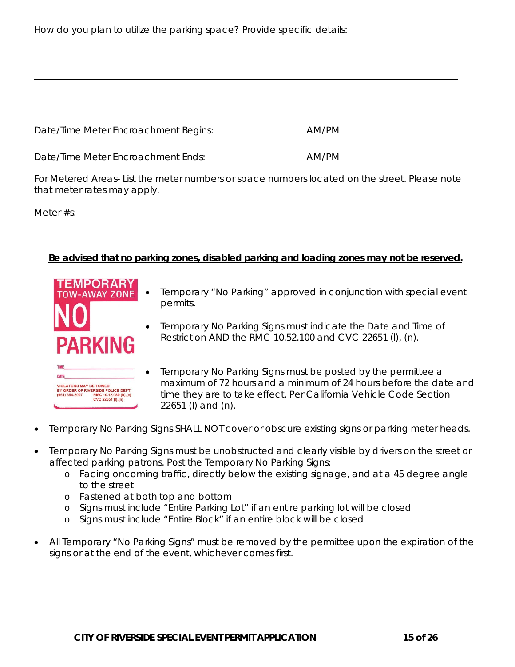How do you plan to utilize the parking space? Provide specific details:

Date/Time Meter Encroachment Begins: AM/PM

Date/Time Meter Encroachment Ends: AM/PM

For Metered Areas- List the meter numbers or space numbers located on the street. Please note that meter rates may apply.

Meter #s:

#### **Be advised that no parking zones, disabled parking and loading zones may not be reserved.**



- Temporary "No Parking" approved in conjunction with special event permits.
- Temporary No Parking Signs must indicate the Date and Time of Restriction AND the RMC 10.52.100 and CVC 22651 (l), (n).



- Temporary No Parking Signs must be posted by the permittee a maximum of 72 hours and a minimum of 24 hours before the date and time they are to take effect. Per California Vehicle Code Section 22651 (l) and (n).
- Temporary No Parking Signs SHALL NOT cover or obscure existing signs or parking meter heads.
- Temporary No Parking Signs must be unobstructed and clearly visible by drivers on the street or affected parking patrons. Post the Temporary No Parking Signs:
	- o Facing oncoming traffic, directly below the existing signage, and at a 45 degree angle to the street
	- o Fastened at both top and bottom
	- o Signs must include "Entire Parking Lot" if an entire parking lot will be closed
	- o Signs must include "Entire Block" if an entire block will be closed
- All Temporary "No Parking Signs" must be removed by the permittee upon the expiration of the signs or at the end of the event, whichever comes first.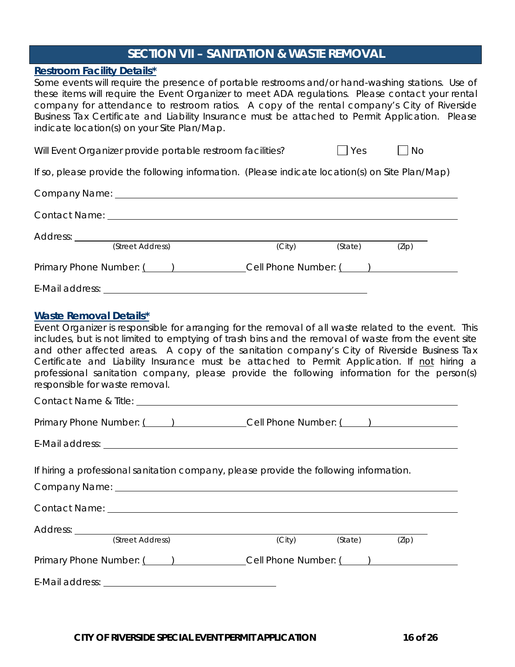# **SECTION VII – SANITATION & WASTE REMOVAL**

### **Restroom Facility Details\***

Some events will require the presence of portable restrooms and/or hand-washing stations. Use of these items will require the Event Organizer to meet ADA regulations. Please contact your rental company for attendance to restroom ratios. A copy of the rental company's City of Riverside Business Tax Certificate and Liability Insurance must be attached to Permit Application. Please indicate location(s) on your Site Plan/Map.

Will Event Organizer provide portable restroom facilities?  $\Box$  Yes  $\Box$  No

If so, please provide the following information. (Please indicate location(s) on Site Plan/Map)

| Contact Name: Contact Name: Contact Name: Contact Name: Contact Name: Contact Name: Contact Name: Contact Name: Contact Name: Contact Name: Contact Name: Contact Name: Contact Name: Contact Name: Contact Name: Contact Name |                                       |         |       |
|--------------------------------------------------------------------------------------------------------------------------------------------------------------------------------------------------------------------------------|---------------------------------------|---------|-------|
| (Street Address)                                                                                                                                                                                                               | (City)                                | (State) | (Zip) |
| Primary Phone Number: ()                                                                                                                                                                                                       | Cell Phone Number: ( ) ______________ |         |       |
|                                                                                                                                                                                                                                |                                       |         |       |

#### **Waste Removal Details\***

Event Organizer is responsible for arranging for the removal of all waste related to the event. This includes, but is not limited to emptying of trash bins and the removal of waste from the event site and other affected areas. A copy of the sanitation company's City of Riverside Business Tax Certificate and Liability Insurance must be attached to Permit Application. If not hiring a professional sanitation company, please provide the following information for the person(s) responsible for waste removal.

Contact Name & Title:

Primary Phone Number: ( ) Cell Phone Number: ( )

E-Mail address:

If hiring a professional sanitation company, please provide the following information.

Company Name:

Contact Name:

| Address: |                  |        |         |       |  |
|----------|------------------|--------|---------|-------|--|
|          | (Street Address) | (City) | (State) | (Zip) |  |
|          |                  |        |         |       |  |

Primary Phone Number: ( ) Cell Phone Number: ( )

E-Mail address: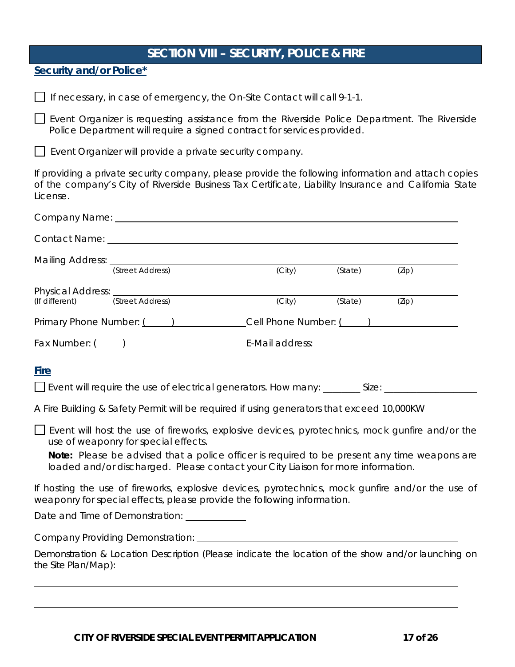# **SECTION VIII – SECURITY, POLICE & FIRE**

**Security and/or Police\***

 $\Box$  If necessary, in case of emergency, the On-Site Contact will call 9-1-1.

Event Organizer is requesting assistance from the Riverside Police Department. The Riverside Police Department will require a signed contract for services provided.

Event Organizer will provide a private security company.

If providing a private security company, please provide the following information and attach copies of the company's City of Riverside Business Tax Certificate, Liability Insurance and California State License.

|                                               |                  | Company Name: Company Name:                           |                                                                                           |         |                                                                                                                                                                                                       |  |
|-----------------------------------------------|------------------|-------------------------------------------------------|-------------------------------------------------------------------------------------------|---------|-------------------------------------------------------------------------------------------------------------------------------------------------------------------------------------------------------|--|
|                                               |                  | Contact Name: <u>Contact Name:</u> Contact Name: 2004 |                                                                                           |         |                                                                                                                                                                                                       |  |
| Mailing Address: (Street Address)             |                  |                                                       | (City)                                                                                    | (State) | (Zip)                                                                                                                                                                                                 |  |
| Physical Address: _________<br>(If different) | (Street Address) |                                                       | (City)                                                                                    | (State) | (Zip)                                                                                                                                                                                                 |  |
|                                               |                  |                                                       |                                                                                           |         |                                                                                                                                                                                                       |  |
|                                               |                  |                                                       |                                                                                           |         |                                                                                                                                                                                                       |  |
| <b>Fire</b>                                   |                  |                                                       | A Fire Building & Safety Permit will be required if using generators that exceed 10,000KW |         |                                                                                                                                                                                                       |  |
| use of weaponry for special effects.          |                  |                                                       | loaded and/or discharged. Please contact your City Liaison for more information.          |         | $\Box$ Event will host the use of fireworks, explosive devices, pyrotechnics, mock gunfire and/or the<br>Note: Please be advised that a police officer is required to be present any time weapons are |  |
|                                               |                  |                                                       | weaponry for special effects, please provide the following information.                   |         | If hosting the use of fireworks, explosive devices, pyrotechnics, mock qunfire and/or the use of                                                                                                      |  |
|                                               |                  | Date and Time of Demonstration: <u>contained</u>      |                                                                                           |         |                                                                                                                                                                                                       |  |
|                                               |                  |                                                       |                                                                                           |         |                                                                                                                                                                                                       |  |
| the Site Plan/Map):                           |                  |                                                       |                                                                                           |         | Demonstration & Location Description (Please indicate the location of the show and/or launching on                                                                                                    |  |
|                                               |                  |                                                       |                                                                                           |         |                                                                                                                                                                                                       |  |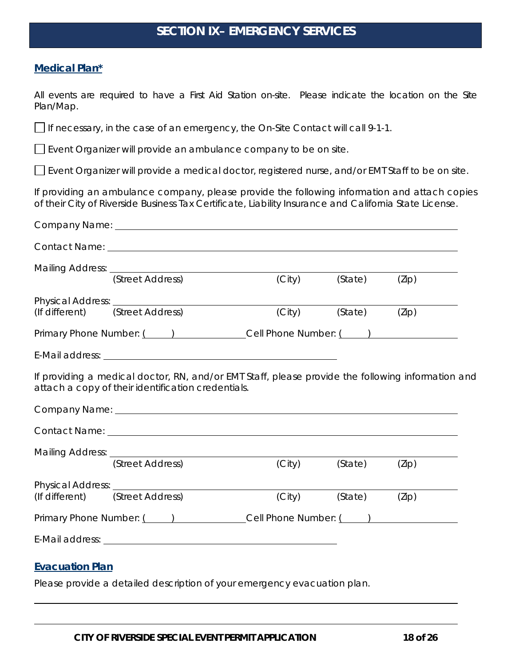# **SECTION IX– EMERGENCY SERVICES**

#### **Medical Plan\***

All events are required to have a First Aid Station on-site. Please indicate the location on the Site Plan/Map.

If necessary, in the case of an emergency, the On-Site Contact will call 9-1-1.

 $\Box$  Event Organizer will provide an ambulance company to be on site.

Event Organizer will provide a medical doctor, registered nurse, and/or EMT Staff to be on site.

If providing an ambulance company, please provide the following information and attach copies of their City of Riverside Business Tax Certificate, Liability Insurance and California State License.

| Contact Name: <u>example and a series of the series of the series of the series of the series of the series of the series of the series of the series of the series of the series of the series of the series of the series of t</u> |        |         |       |
|--------------------------------------------------------------------------------------------------------------------------------------------------------------------------------------------------------------------------------------|--------|---------|-------|
|                                                                                                                                                                                                                                      |        |         |       |
| Mailing Address: (Street Address) (City)                                                                                                                                                                                             | (City) | (State) | (Zip) |
|                                                                                                                                                                                                                                      |        |         |       |
| (Street Address)<br>(If different)                                                                                                                                                                                                   | (City) | (State) | (Zip) |
|                                                                                                                                                                                                                                      |        |         |       |
|                                                                                                                                                                                                                                      |        |         |       |
| If providing a medical doctor, RN, and/or EMT Staff, please provide the following information and<br>attach a copy of their identification credentials.                                                                              |        |         |       |
|                                                                                                                                                                                                                                      |        |         |       |
|                                                                                                                                                                                                                                      |        |         |       |
|                                                                                                                                                                                                                                      |        |         |       |
| (Street Address)                                                                                                                                                                                                                     | (City) | (State) | (Zip) |
|                                                                                                                                                                                                                                      |        |         |       |
| (Street Address)<br>(If different)                                                                                                                                                                                                   | (City) | (State) | (Zip) |
| Primary Phone Number: () Cell Phone Number: ()                                                                                                                                                                                       |        |         |       |
|                                                                                                                                                                                                                                      |        |         |       |
| <b>Evacuation Plan</b>                                                                                                                                                                                                               |        |         |       |
| Please provide a detailed description of your emergency evacuation plan.                                                                                                                                                             |        |         |       |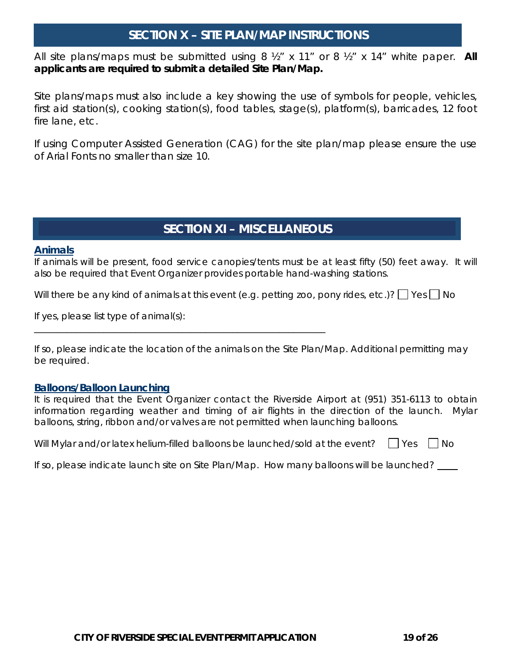# **SECTION X – SITE PLAN/MAP INSTRUCTIONS**

All site plans/maps must be submitted using 8 ½" x 11" or 8 ½" x 14" white paper. **All applicants are required to submit a detailed Site Plan/Map.**

Site plans/maps must also include a key showing the use of symbols for people, vehicles, first aid station(s), cooking station(s), food tables, stage(s), platform(s), barricades, 12 foot fire lane, etc.

If using Computer Assisted Generation (CAG) for the site plan/map please ensure the use of Arial Fonts no smaller than size 10.

# **SECTION XI – MISCELLANEOUS**

#### **Animals**

If animals will be present, food service canopies/tents must be at least fifty (50) feet away. It will also be required that Event Organizer provides portable hand-washing stations.

Will there be any kind of animals at this event (e.g. petting zoo, pony rides, etc.)?  $\Box$  Yes  $\Box$  No

If yes, please list type of animal(s):

\_\_\_\_\_\_\_\_\_\_\_\_\_\_\_\_\_\_\_\_\_\_\_\_\_\_\_\_\_\_\_\_\_\_\_\_\_\_\_\_\_\_\_\_\_\_\_\_\_\_\_\_\_\_\_\_\_\_\_\_\_\_\_

If so, please indicate the location of the animals on the Site Plan/Map. Additional permitting may be required.

#### **Balloons/Balloon Launching**

It is required that the Event Organizer contact the Riverside Airport at (951) 351-6113 to obtain information regarding weather and timing of air flights in the direction of the launch. Mylar balloons, string, ribbon and/or valves are not permitted when launching balloons.

Will Mylar and/or latex helium-filled balloons be launched/sold at the event?  $\Box$  Yes  $\Box$  No

If so, please indicate launch site on Site Plan/Map. How many balloons will be launched?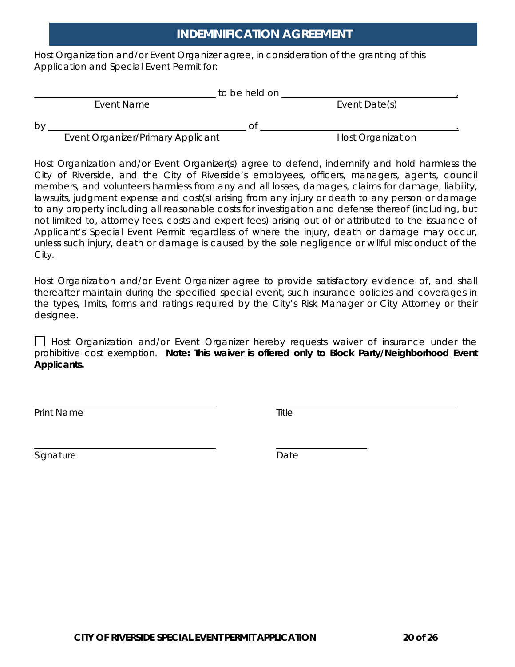# **INDEMNIFICATION AGREEMENT**

Host Organization and/or Event Organizer agree, in consideration of the granting of this Application and Special Event Permit for:

|    |            | to be held on |               |  |
|----|------------|---------------|---------------|--|
|    | Event Name |               | Event Date(s) |  |
| by |            | Ο1            |               |  |

Event Organizer/Primary Applicant **Host Communist Communist Communist Communist Communist Communist Communist Communist Communist Communist Communist Communist Communist Communist Communist Communist Communist Communist Co** 

Host Organization and/or Event Organizer(s) agree to defend, indemnify and hold harmless the City of Riverside, and the City of Riverside's employees, officers, managers, agents, council members, and volunteers harmless from any and all losses, damages, claims for damage, liability, lawsuits, judgment expense and cost(s) arising from any injury or death to any person or damage to any property including all reasonable costs for investigation and defense thereof (including, but not limited to, attorney fees, costs and expert fees) arising out of or attributed to the issuance of Applicant's Special Event Permit regardless of where the injury, death or damage may occur, unless such injury, death or damage is caused by the sole negligence or willful misconduct of the City.

Host Organization and/or Event Organizer agree to provide satisfactory evidence of, and shall thereafter maintain during the specified special event, such insurance policies and coverages in the types, limits, forms and ratings required by the City's Risk Manager or City Attorney or their designee.

Host Organization and/or Event Organizer hereby requests waiver of insurance under the prohibitive cost exemption. **Note: This waiver is offered only to Block Party/Neighborhood Event Applicants.**

Print Name

Signature **Date**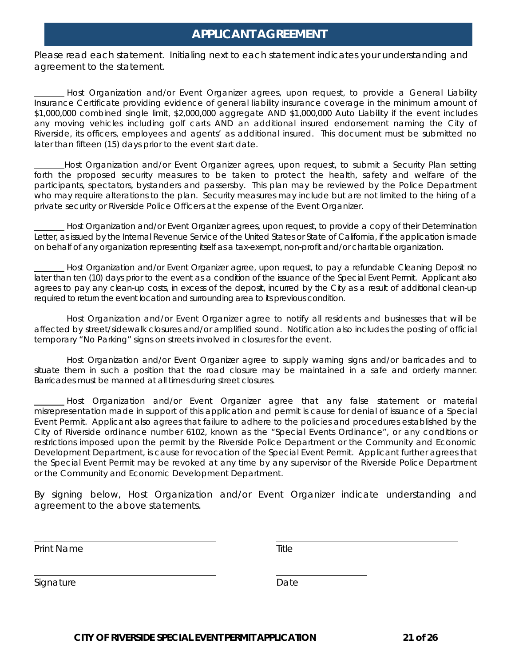# **APPLICANT AGREEMENT**

Please read each statement. Initialing next to each statement indicates your understanding and agreement to the statement.

Host Organization and/or Event Organizer agrees, upon request, to provide a General Liability Insurance Certificate providing evidence of general liability insurance coverage in the minimum amount of \$1,000,000 combined single limit, \$2,000,000 aggregate AND \$1,000,000 Auto Liability if the event includes any moving vehicles including golf carts AND an additional insured endorsement naming the City of Riverside, its officers, employees and agents' as additional insured. This document must be submitted no later than fifteen (15) days prior to the event start date.

Host Organization and/or Event Organizer agrees, upon request, to submit a Security Plan setting forth the proposed security measures to be taken to protect the health, safety and welfare of the participants, spectators, bystanders and passersby. This plan may be reviewed by the Police Department who may require alterations to the plan. Security measures may include but are not limited to the hiring of a private security or Riverside Police Officers at the expense of the Event Organizer.

Host Organization and/or Event Organizer agrees, upon request, to provide a copy of their Determination Letter, as issued by the Internal Revenue Service of the United States or State of California, if the application is made on behalf of any organization representing itself as a tax-exempt, non-profit and/or charitable organization.

Host Organization and/or Event Organizer agree, upon request, to pay a refundable Cleaning Deposit no later than ten (10) days prior to the event as a condition of the issuance of the Special Event Permit. Applicant also agrees to pay any clean-up costs, in excess of the deposit, incurred by the City as a result of additional clean-up required to return the event location and surrounding area to its previous condition.

Host Organization and/or Event Organizer agree to notify all residents and businesses that will be affected by street/sidewalk closures and/or amplified sound. Notification also includes the posting of official temporary "No Parking" signs on streets involved in closures for the event.

Host Organization and/or Event Organizer agree to supply warning signs and/or barricades and to situate them in such a position that the road closure may be maintained in a safe and orderly manner. Barricades must be manned at all times during street closures.

Host Organization and/or Event Organizer agree that any false statement or material misrepresentation made in support of this application and permit is cause for denial of issuance of a Special Event Permit. Applicant also agrees that failure to adhere to the policies and procedures established by the City of Riverside ordinance number 6102, known as the "Special Events Ordinance", or any conditions or restrictions imposed upon the permit by the Riverside Police Department or the Community and Economic Development Department, is cause for revocation of the Special Event Permit. Applicant further agrees that the Special Event Permit may be revoked at any time by any supervisor of the Riverside Police Department or the Community and Economic Development Department.

By signing below, Host Organization and/or Event Organizer indicate understanding and agreement to the above statements.

Print Name

Signature **Date**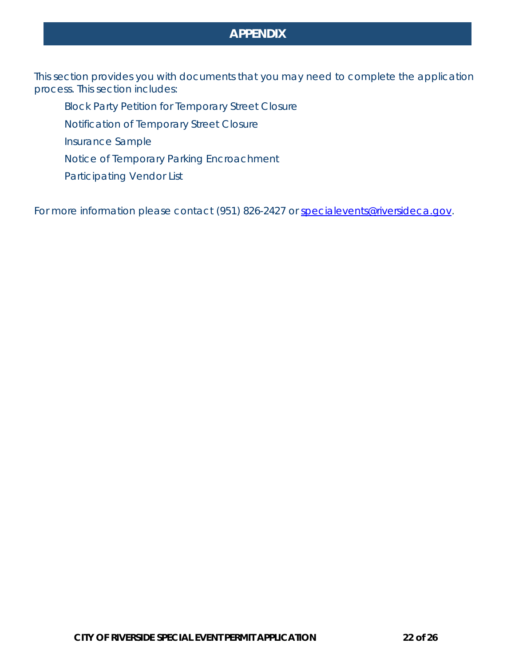# **APPENDIX**

This section provides you with documents that you may need to complete the application process. This section includes:

- Block Party Petition for Temporary Street Closure
- Notification of Temporary Street Closure
- Insurance Sample
- Notice of Temporary Parking Encroachment
- Participating Vendor List

For more information please contact (951) 826-2427 or specialevents@riversideca.gov.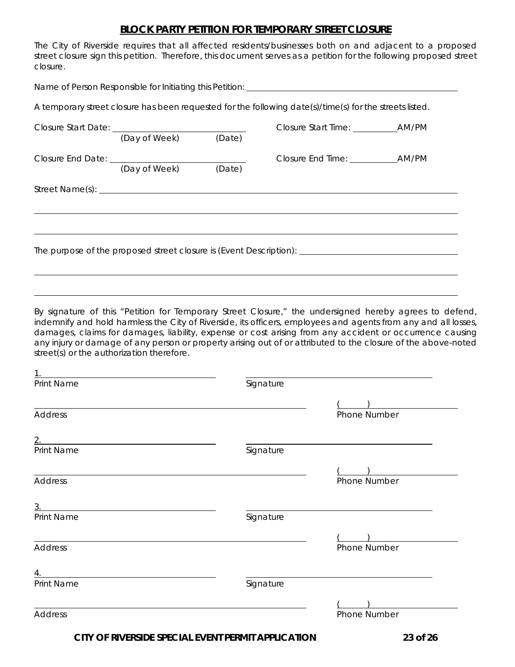#### **BLOCK PARTY PETITION FOR TEMPORARY STREET CLOSURE**

The City of Riverside requires that all affected residents/businesses both on and adjacent to a proposed street closure sign this petition. Therefore, this document serves as a petition for the following proposed street closure.

| Name of Person Responsible for Initiating this Petition: _______________________                     |                      |  |                                                                                                         |  |  |
|------------------------------------------------------------------------------------------------------|----------------------|--|---------------------------------------------------------------------------------------------------------|--|--|
|                                                                                                      |                      |  | A temporary street closure has been requested for the following date(s)/time(s) for the streets listed. |  |  |
|                                                                                                      | (Day of Week) (Date) |  |                                                                                                         |  |  |
|                                                                                                      | (Day of Week) (Date) |  |                                                                                                         |  |  |
|                                                                                                      |                      |  |                                                                                                         |  |  |
| The purpose of the proposed street closure is (Event Description): _________________________________ |                      |  |                                                                                                         |  |  |
|                                                                                                      |                      |  |                                                                                                         |  |  |

By signature of this "Petition for Temporary Street Closure," the undersigned hereby agrees to defend, indemnify and hold harmless the City of Riverside, its officers, employees and agents from any and all losses, damages, claims for damages, liability, expense or cost arising from any accident or occurrence causing any injury or damage of any person or property arising out of or attributed to the closure of the above-noted street(s) or the authorization therefore.

| 1                |           |              |
|------------------|-----------|--------------|
| Print Name       | Signature |              |
|                  |           |              |
| <b>Address</b>   |           | Phone Number |
| 2.               |           |              |
| Print Name       | Signature |              |
|                  |           |              |
| <b>Address</b>   |           | Phone Number |
| 3.               |           |              |
| Print Name       | Signature |              |
|                  |           |              |
| <b>Address</b>   |           | Phone Number |
| $\overline{4}$ . |           |              |
| Print Name       | Signature |              |
|                  |           |              |
| <b>Address</b>   |           | Phone Number |
|                  |           |              |

**CITY OF RIVERSIDE SPECIAL EVENT PERMIT APPLICATION 23 of 26**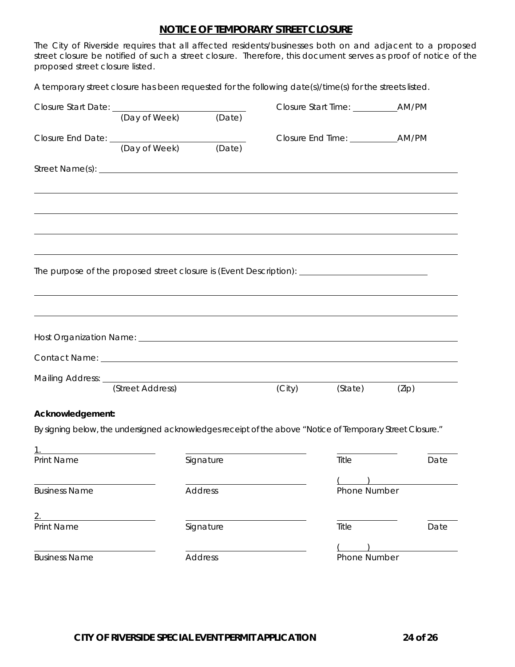#### **NOTICE OF TEMPORARY STREET CLOSURE**

The City of Riverside requires that all affected residents/businesses both on and adjacent to a proposed street closure be notified of such a street closure. Therefore, this document serves as proof of notice of the proposed street closure listed.

A temporary street closure has been requested for the following date(s)/time(s) for the streets listed.

| Closure Start Date: \\square \\square Start Date: \\square \\square \square \square \square \square \square \square \square \square \square \square \square \square \square \square \square \square \square \square \square \s       |               |                |        |              |       |
|--------------------------------------------------------------------------------------------------------------------------------------------------------------------------------------------------------------------------------------|---------------|----------------|--------|--------------|-------|
|                                                                                                                                                                                                                                      | (Day of Week) | (Date)         |        |              |       |
| Closure End Date: (Day of Week)                                                                                                                                                                                                      |               |                |        |              |       |
|                                                                                                                                                                                                                                      |               | (Date)         |        |              |       |
|                                                                                                                                                                                                                                      |               |                |        |              |       |
|                                                                                                                                                                                                                                      |               |                |        |              |       |
|                                                                                                                                                                                                                                      |               |                |        |              |       |
|                                                                                                                                                                                                                                      |               |                |        |              |       |
|                                                                                                                                                                                                                                      |               |                |        |              |       |
|                                                                                                                                                                                                                                      |               |                |        |              |       |
|                                                                                                                                                                                                                                      |               |                |        |              |       |
|                                                                                                                                                                                                                                      |               |                |        |              |       |
|                                                                                                                                                                                                                                      |               |                |        |              |       |
|                                                                                                                                                                                                                                      |               |                |        |              |       |
| Host Organization Name: <b>contract and the Contract of Contract Act of Contract and Contract Act of Contract Act of Contract Act of Contract Act of Contract Act of Contract Act of Contract Act of Contract Act of Contract Ac</b> |               |                |        |              |       |
| Contact Name: Name and Service Contact Name and Service Contact Name and Service Contact Name and Service Contact Name and Service Contact Name and Service Contact Name and Service Contact Name and Service Contact Name and       |               |                |        |              |       |
|                                                                                                                                                                                                                                      |               |                |        |              |       |
| Mailing Address: (Street Address)                                                                                                                                                                                                    |               |                | (City) | (State)      | (Zip) |
| Acknowledgement:                                                                                                                                                                                                                     |               |                |        |              |       |
| By signing below, the undersigned acknowledges receipt of the above "Notice of Temporary Street Closure."                                                                                                                            |               |                |        |              |       |
|                                                                                                                                                                                                                                      |               |                |        |              |       |
| <b>Print Name</b>                                                                                                                                                                                                                    |               | Signature      |        | Title        | Date  |
|                                                                                                                                                                                                                                      |               |                |        |              |       |
| <b>Business Name</b>                                                                                                                                                                                                                 |               | <b>Address</b> |        | Phone Number |       |
|                                                                                                                                                                                                                                      |               |                |        |              |       |
| 2.<br><b>Print Name</b>                                                                                                                                                                                                              |               | Signature      |        | Title        | Date  |
|                                                                                                                                                                                                                                      |               |                |        |              |       |
| <b>Business Name</b>                                                                                                                                                                                                                 |               | <b>Address</b> |        | Phone Number |       |
|                                                                                                                                                                                                                                      |               |                |        |              |       |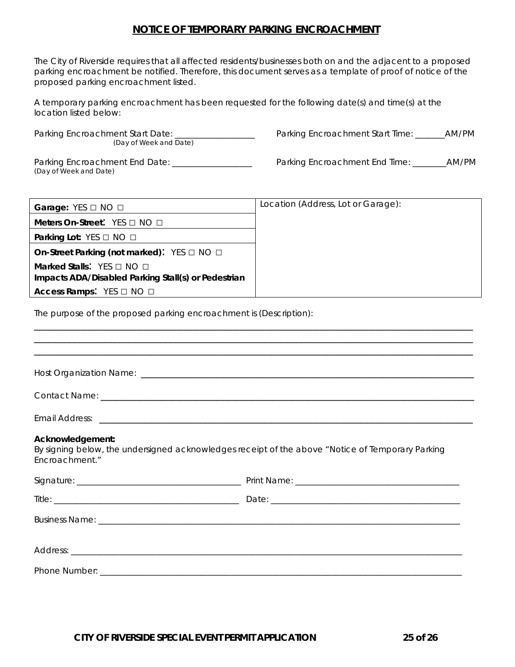#### **NOTICE OF TEMPORARY PARKING ENCROACHMENT**

The City of Riverside requires that all affected residents/businesses both on and the adjacent to a proposed parking encroachment be notified. Therefore, this document serves as a template of proof of notice of the proposed parking encroachment listed.

A temporary parking encroachment has been requested for the following date(s) and time(s) at the location listed below:

Parking Encroachment Start Date: \_\_\_\_\_\_\_\_\_\_\_\_\_\_\_\_\_\_\_\_\_\_\_ Parking Encroachment Start Time: \_\_\_\_\_\_\_AM/PM (Day of Week and Date)

(Day of Week and Date)

Parking Encroachment End Date: \_\_\_\_\_\_\_\_\_\_\_\_\_\_\_\_\_\_\_\_\_ Parking Encroachment End Time: \_\_\_\_\_\_\_\_AM/PM

| Garage: $YES \Box NO \Box$                                                                        | Location (Address, Lot or Garage): |
|---------------------------------------------------------------------------------------------------|------------------------------------|
| Meters On-Street: $YES \Box NO \Box$                                                              |                                    |
| <b>Parking Lot:</b> YES $\Box$ NO $\Box$                                                          |                                    |
| On-Street Parking (not marked): $YES \Box NO \Box$                                                |                                    |
| <b>Marked Stalls:</b> YES $\Box$ NO $\Box$<br>Impacts ADA/Disabled Parking Stall(s) or Pedestrian |                                    |
| Access Ramps: $YES \Box NO \Box$                                                                  |                                    |

\_\_\_\_\_\_\_\_\_\_\_\_\_\_\_\_\_\_\_\_\_\_\_\_\_\_\_\_\_\_\_\_\_\_\_\_\_\_\_\_\_\_\_\_\_\_\_\_\_\_\_\_\_\_\_\_\_\_\_\_\_\_\_\_\_\_\_\_\_\_\_\_\_\_\_\_\_\_\_\_\_\_\_\_\_\_\_

The purpose of the proposed parking encroachment is (Description):

| Acknowledgement:<br>Encroachment." | By signing below, the undersigned acknowledges receipt of the above "Notice of Temporary Parking |
|------------------------------------|--------------------------------------------------------------------------------------------------|
|                                    |                                                                                                  |
|                                    |                                                                                                  |
|                                    |                                                                                                  |
|                                    |                                                                                                  |
|                                    |                                                                                                  |